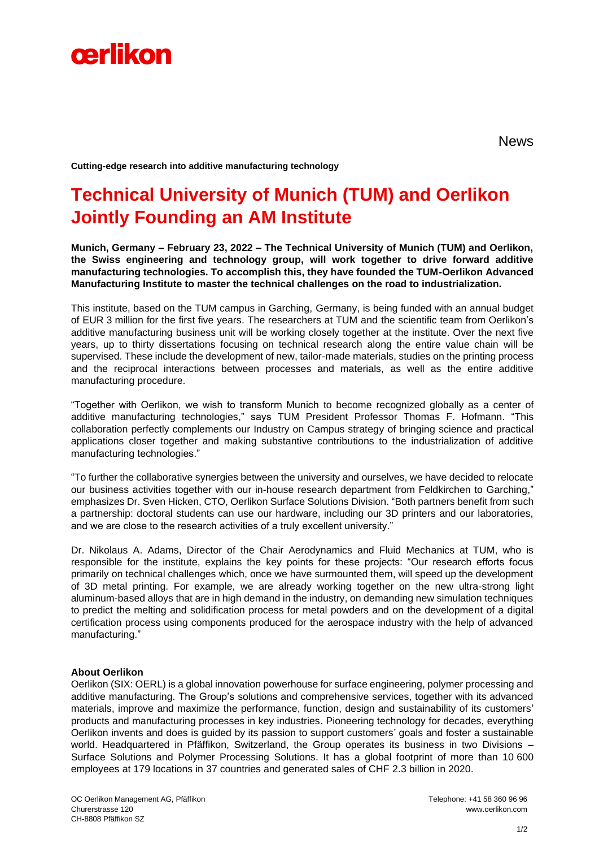

News

**Cutting-edge research into additive manufacturing technology**

## **Technical University of Munich (TUM) and Oerlikon Jointly Founding an AM Institute**

**Munich, Germany – February 23, 2022 – The Technical University of Munich (TUM) and Oerlikon, the Swiss engineering and technology group, will work together to drive forward additive manufacturing technologies. To accomplish this, they have founded the TUM-Oerlikon Advanced Manufacturing Institute to master the technical challenges on the road to industrialization.** 

This institute, based on the TUM campus in Garching, Germany, is being funded with an annual budget of EUR 3 million for the first five years. The researchers at TUM and the scientific team from Oerlikon's additive manufacturing business unit will be working closely together at the institute. Over the next five years, up to thirty dissertations focusing on technical research along the entire value chain will be supervised. These include the development of new, tailor-made materials, studies on the printing process and the reciprocal interactions between processes and materials, as well as the entire additive manufacturing procedure.

"Together with Oerlikon, we wish to transform Munich to become recognized globally as a center of additive manufacturing technologies," says TUM President Professor Thomas F. Hofmann. "This collaboration perfectly complements our Industry on Campus strategy of bringing science and practical applications closer together and making substantive contributions to the industrialization of additive manufacturing technologies."

"To further the collaborative synergies between the university and ourselves, we have decided to relocate our business activities together with our in-house research department from Feldkirchen to Garching," emphasizes Dr. Sven Hicken, CTO, Oerlikon Surface Solutions Division. "Both partners benefit from such a partnership: doctoral students can use our hardware, including our 3D printers and our laboratories, and we are close to the research activities of a truly excellent university."

Dr. Nikolaus A. Adams, Director of the Chair Aerodynamics and Fluid Mechanics at TUM, who is responsible for the institute, explains the key points for these projects: "Our research efforts focus primarily on technical challenges which, once we have surmounted them, will speed up the development of 3D metal printing. For example, we are already working together on the new ultra-strong light aluminum-based alloys that are in high demand in the industry, on demanding new simulation techniques to predict the melting and solidification process for metal powders and on the development of a digital certification process using components produced for the aerospace industry with the help of advanced manufacturing."

## **About Oerlikon**

Oerlikon (SIX: OERL) is a global innovation powerhouse for surface engineering, polymer processing and additive manufacturing. The Group's solutions and comprehensive services, together with its advanced materials, improve and maximize the performance, function, design and sustainability of its customers' products and manufacturing processes in key industries. Pioneering technology for decades, everything Oerlikon invents and does is guided by its passion to support customers' goals and foster a sustainable world. Headquartered in Pfäffikon, Switzerland, the Group operates its business in two Divisions – Surface Solutions and Polymer Processing Solutions. It has a global footprint of more than 10 600 employees at 179 locations in 37 countries and generated sales of CHF 2.3 billion in 2020.